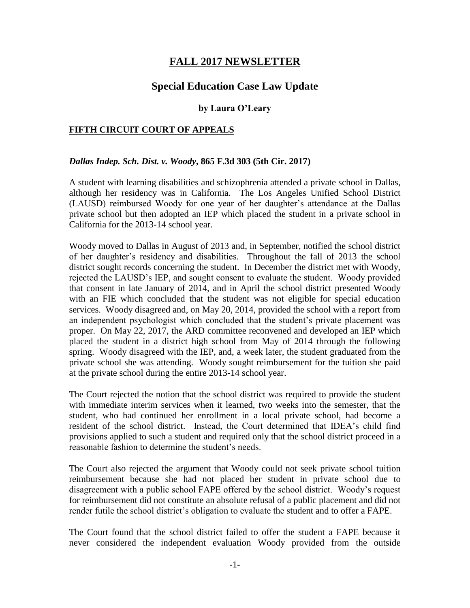## **FALL 2017 NEWSLETTER**

# **Special Education Case Law Update**

#### **by Laura O'Leary**

#### **FIFTH CIRCUIT COURT OF APPEALS**

#### *Dallas Indep. Sch. Dist. v. Woody***, 865 F.3d 303 (5th Cir. 2017)**

A student with learning disabilities and schizophrenia attended a private school in Dallas, although her residency was in California. The Los Angeles Unified School District (LAUSD) reimbursed Woody for one year of her daughter's attendance at the Dallas private school but then adopted an IEP which placed the student in a private school in California for the 2013-14 school year.

Woody moved to Dallas in August of 2013 and, in September, notified the school district of her daughter's residency and disabilities. Throughout the fall of 2013 the school district sought records concerning the student. In December the district met with Woody, rejected the LAUSD's IEP, and sought consent to evaluate the student. Woody provided that consent in late January of 2014, and in April the school district presented Woody with an FIE which concluded that the student was not eligible for special education services. Woody disagreed and, on May 20, 2014, provided the school with a report from an independent psychologist which concluded that the student's private placement was proper. On May 22, 2017, the ARD committee reconvened and developed an IEP which placed the student in a district high school from May of 2014 through the following spring. Woody disagreed with the IEP, and, a week later, the student graduated from the private school she was attending. Woody sought reimbursement for the tuition she paid at the private school during the entire 2013-14 school year.

The Court rejected the notion that the school district was required to provide the student with immediate interim services when it learned, two weeks into the semester, that the student, who had continued her enrollment in a local private school, had become a resident of the school district. Instead, the Court determined that IDEA's child find provisions applied to such a student and required only that the school district proceed in a reasonable fashion to determine the student's needs.

The Court also rejected the argument that Woody could not seek private school tuition reimbursement because she had not placed her student in private school due to disagreement with a public school FAPE offered by the school district. Woody's request for reimbursement did not constitute an absolute refusal of a public placement and did not render futile the school district's obligation to evaluate the student and to offer a FAPE.

The Court found that the school district failed to offer the student a FAPE because it never considered the independent evaluation Woody provided from the outside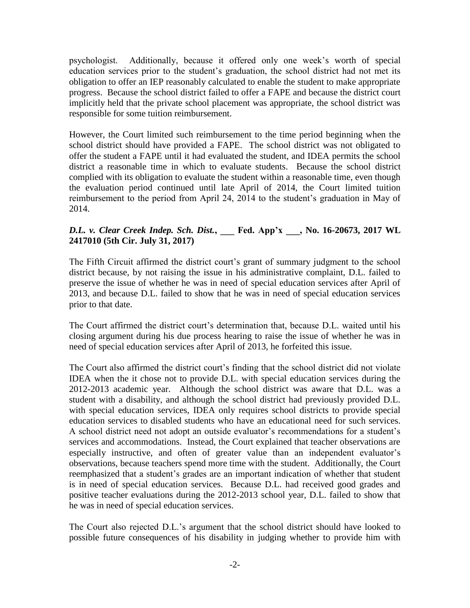psychologist. Additionally, because it offered only one week's worth of special education services prior to the student's graduation, the school district had not met its obligation to offer an IEP reasonably calculated to enable the student to make appropriate progress. Because the school district failed to offer a FAPE and because the district court implicitly held that the private school placement was appropriate, the school district was responsible for some tuition reimbursement.

However, the Court limited such reimbursement to the time period beginning when the school district should have provided a FAPE. The school district was not obligated to offer the student a FAPE until it had evaluated the student, and IDEA permits the school district a reasonable time in which to evaluate students. Because the school district complied with its obligation to evaluate the student within a reasonable time, even though the evaluation period continued until late April of 2014, the Court limited tuition reimbursement to the period from April 24, 2014 to the student's graduation in May of 2014.

## *D.L. v. Clear Creek Indep. Sch. Dist.***, \_\_\_ Fed. App'x \_\_\_, No. 16-20673, 2017 WL 2417010 (5th Cir. July 31, 2017)**

The Fifth Circuit affirmed the district court's grant of summary judgment to the school district because, by not raising the issue in his administrative complaint, D.L. failed to preserve the issue of whether he was in need of special education services after April of 2013, and because D.L. failed to show that he was in need of special education services prior to that date.

The Court affirmed the district court's determination that, because D.L. waited until his closing argument during his due process hearing to raise the issue of whether he was in need of special education services after April of 2013, he forfeited this issue.

The Court also affirmed the district court's finding that the school district did not violate IDEA when the it chose not to provide D.L. with special education services during the 2012-2013 academic year. Although the school district was aware that D.L. was a student with a disability, and although the school district had previously provided D.L. with special education services, IDEA only requires school districts to provide special education services to disabled students who have an educational need for such services. A school district need not adopt an outside evaluator's recommendations for a student's services and accommodations. Instead, the Court explained that teacher observations are especially instructive, and often of greater value than an independent evaluator's observations, because teachers spend more time with the student. Additionally, the Court reemphasized that a student's grades are an important indication of whether that student is in need of special education services. Because D.L. had received good grades and positive teacher evaluations during the 2012-2013 school year, D.L. failed to show that he was in need of special education services.

The Court also rejected D.L.'s argument that the school district should have looked to possible future consequences of his disability in judging whether to provide him with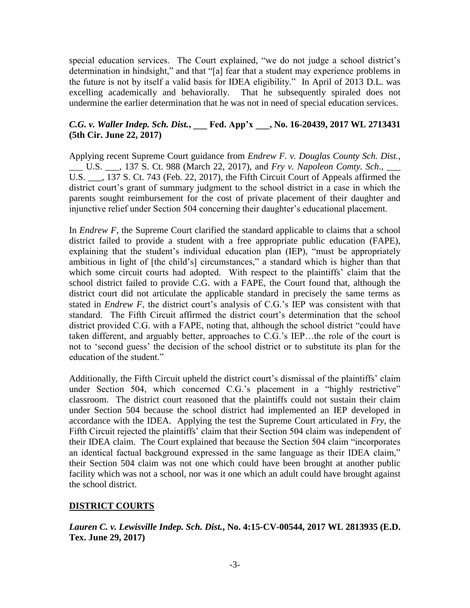special education services. The Court explained, "we do not judge a school district's determination in hindsight," and that "[a] fear that a student may experience problems in the future is not by itself a valid basis for IDEA eligibility." In April of 2013 D.L. was excelling academically and behaviorally. That he subsequently spiraled does not undermine the earlier determination that he was not in need of special education services.

## *C.G. v. Waller Indep. Sch. Dist.***, \_\_\_ Fed. App'x \_\_\_, No. 16-20439, 2017 WL 2713431 (5th Cir. June 22, 2017)**

Applying recent Supreme Court guidance from *Endrew F. v. Douglas County Sch. Dist.*, \_\_\_ U.S. \_\_\_, 137 S. Ct. 988 (March 22, 2017), and *Fry v. Napoleon Comty. Sch*., \_\_\_ U.S. \_\_\_, 137 S. Ct. 743 (Feb. 22, 2017), the Fifth Circuit Court of Appeals affirmed the district court's grant of summary judgment to the school district in a case in which the parents sought reimbursement for the cost of private placement of their daughter and injunctive relief under Section 504 concerning their daughter's educational placement.

In *Endrew F*, the Supreme Court clarified the standard applicable to claims that a school district failed to provide a student with a free appropriate public education (FAPE), explaining that the student's individual education plan (IEP), "must be appropriately ambitious in light of [the child's] circumstances," a standard which is higher than that which some circuit courts had adopted. With respect to the plaintiffs' claim that the school district failed to provide C.G. with a FAPE, the Court found that, although the district court did not articulate the applicable standard in precisely the same terms as stated in *Endrew F*, the district court's analysis of C.G.'s IEP was consistent with that standard. The Fifth Circuit affirmed the district court's determination that the school district provided C.G. with a FAPE, noting that, although the school district "could have taken different, and arguably better, approaches to C.G.'s IEP…the role of the court is not to 'second guess' the decision of the school district or to substitute its plan for the education of the student."

Additionally, the Fifth Circuit upheld the district court's dismissal of the plaintiffs' claim under Section 504, which concerned C.G.'s placement in a "highly restrictive" classroom. The district court reasoned that the plaintiffs could not sustain their claim under Section 504 because the school district had implemented an IEP developed in accordance with the IDEA. Applying the test the Supreme Court articulated in *Fry*, the Fifth Circuit rejected the plaintiffs' claim that their Section 504 claim was independent of their IDEA claim. The Court explained that because the Section 504 claim "incorporates an identical factual background expressed in the same language as their IDEA claim," their Section 504 claim was not one which could have been brought at another public facility which was not a school, nor was it one which an adult could have brought against the school district.

### **DISTRICT COURTS**

*Lauren C. v. Lewisville Indep. Sch. Dist.***, No. 4:15-CV-00544, 2017 WL 2813935 (E.D. Tex. June 29, 2017)**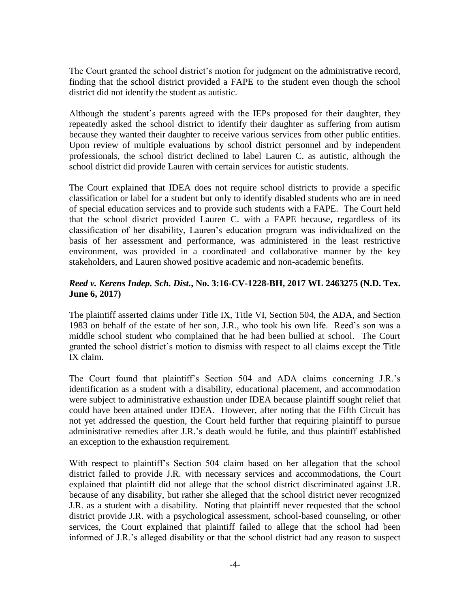The Court granted the school district's motion for judgment on the administrative record, finding that the school district provided a FAPE to the student even though the school district did not identify the student as autistic.

Although the student's parents agreed with the IEPs proposed for their daughter, they repeatedly asked the school district to identify their daughter as suffering from autism because they wanted their daughter to receive various services from other public entities. Upon review of multiple evaluations by school district personnel and by independent professionals, the school district declined to label Lauren C. as autistic, although the school district did provide Lauren with certain services for autistic students.

The Court explained that IDEA does not require school districts to provide a specific classification or label for a student but only to identify disabled students who are in need of special education services and to provide such students with a FAPE. The Court held that the school district provided Lauren C. with a FAPE because, regardless of its classification of her disability, Lauren's education program was individualized on the basis of her assessment and performance, was administered in the least restrictive environment, was provided in a coordinated and collaborative manner by the key stakeholders, and Lauren showed positive academic and non-academic benefits.

### *Reed v. Kerens Indep. Sch. Dist.***, No. 3:16-CV-1228-BH, 2017 WL 2463275 (N.D. Tex. June 6, 2017)**

The plaintiff asserted claims under Title IX, Title VI, Section 504, the ADA, and Section 1983 on behalf of the estate of her son, J.R., who took his own life. Reed's son was a middle school student who complained that he had been bullied at school. The Court granted the school district's motion to dismiss with respect to all claims except the Title IX claim.

The Court found that plaintiff's Section 504 and ADA claims concerning J.R.'s identification as a student with a disability, educational placement, and accommodation were subject to administrative exhaustion under IDEA because plaintiff sought relief that could have been attained under IDEA. However, after noting that the Fifth Circuit has not yet addressed the question, the Court held further that requiring plaintiff to pursue administrative remedies after J.R.'s death would be futile, and thus plaintiff established an exception to the exhaustion requirement.

With respect to plaintiff's Section 504 claim based on her allegation that the school district failed to provide J.R. with necessary services and accommodations, the Court explained that plaintiff did not allege that the school district discriminated against J.R. because of any disability, but rather she alleged that the school district never recognized J.R. as a student with a disability. Noting that plaintiff never requested that the school district provide J.R. with a psychological assessment, school-based counseling, or other services, the Court explained that plaintiff failed to allege that the school had been informed of J.R.'s alleged disability or that the school district had any reason to suspect